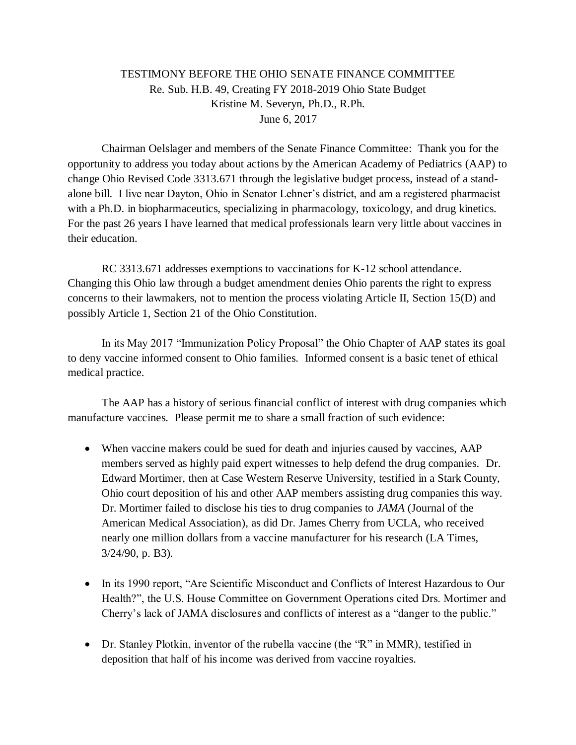## TESTIMONY BEFORE THE OHIO SENATE FINANCE COMMITTEE Re. Sub. H.B. 49, Creating FY 2018-2019 Ohio State Budget Kristine M. Severyn, Ph.D., R.Ph. June 6, 2017

Chairman Oelslager and members of the Senate Finance Committee: Thank you for the opportunity to address you today about actions by the American Academy of Pediatrics (AAP) to change Ohio Revised Code 3313.671 through the legislative budget process, instead of a standalone bill. I live near Dayton, Ohio in Senator Lehner's district, and am a registered pharmacist with a Ph.D. in biopharmaceutics, specializing in pharmacology, toxicology, and drug kinetics. For the past 26 years I have learned that medical professionals learn very little about vaccines in their education.

RC 3313.671 addresses exemptions to vaccinations for K-12 school attendance. Changing this Ohio law through a budget amendment denies Ohio parents the right to express concerns to their lawmakers, not to mention the process violating Article II, Section 15(D) and possibly Article 1, Section 21 of the Ohio Constitution.

In its May 2017 "Immunization Policy Proposal" the Ohio Chapter of AAP states its goal to deny vaccine informed consent to Ohio families. Informed consent is a basic tenet of ethical medical practice.

The AAP has a history of serious financial conflict of interest with drug companies which manufacture vaccines. Please permit me to share a small fraction of such evidence:

- When vaccine makers could be sued for death and injuries caused by vaccines, AAP members served as highly paid expert witnesses to help defend the drug companies. Dr. Edward Mortimer, then at Case Western Reserve University, testified in a Stark County, Ohio court deposition of his and other AAP members assisting drug companies this way. Dr. Mortimer failed to disclose his ties to drug companies to *JAMA* (Journal of the American Medical Association), as did Dr. James Cherry from UCLA, who received nearly one million dollars from a vaccine manufacturer for his research (LA Times, 3/24/90, p. B3).
- In its 1990 report, "Are Scientific Misconduct and Conflicts of Interest Hazardous to Our Health?", the U.S. House Committee on Government Operations cited Drs. Mortimer and Cherry's lack of JAMA disclosures and conflicts of interest as a "danger to the public."
- Dr. Stanley Plotkin, inventor of the rubella vaccine (the "R" in MMR), testified in deposition that half of his income was derived from vaccine royalties.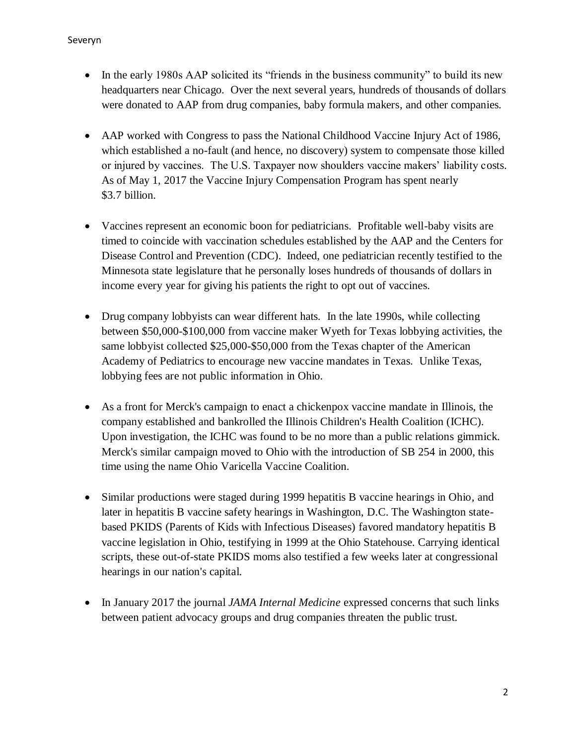- In the early 1980s AAP solicited its "friends in the business community" to build its new headquarters near Chicago. Over the next several years, hundreds of thousands of dollars were donated to AAP from drug companies, baby formula makers, and other companies.
- AAP worked with Congress to pass the National Childhood Vaccine Injury Act of 1986, which established a no-fault (and hence, no discovery) system to compensate those killed or injured by vaccines. The U.S. Taxpayer now shoulders vaccine makers' liability costs. As of May 1, 2017 the Vaccine Injury Compensation Program has spent nearly \$3.7 billion.
- Vaccines represent an economic boon for pediatricians. Profitable well-baby visits are timed to coincide with vaccination schedules established by the AAP and the Centers for Disease Control and Prevention (CDC). Indeed, one pediatrician recently testified to the Minnesota state legislature that he personally loses hundreds of thousands of dollars in income every year for giving his patients the right to opt out of vaccines.
- Drug company lobbyists can wear different hats. In the late 1990s, while collecting between \$50,000-\$100,000 from vaccine maker Wyeth for Texas lobbying activities, the same lobbyist collected \$25,000-\$50,000 from the Texas chapter of the American Academy of Pediatrics to encourage new vaccine mandates in Texas. Unlike Texas, lobbying fees are not public information in Ohio.
- As a front for Merck's campaign to enact a chickenpox vaccine mandate in Illinois, the company established and bankrolled the Illinois Children's Health Coalition (ICHC). Upon investigation, the ICHC was found to be no more than a public relations gimmick. Merck's similar campaign moved to Ohio with the introduction of SB 254 in 2000, this time using the name Ohio Varicella Vaccine Coalition.
- Similar productions were staged during 1999 hepatitis B vaccine hearings in Ohio, and later in hepatitis B vaccine safety hearings in Washington, D.C. The Washington statebased PKIDS (Parents of Kids with Infectious Diseases) favored mandatory hepatitis B vaccine legislation in Ohio, testifying in 1999 at the Ohio Statehouse. Carrying identical scripts, these out-of-state PKIDS moms also testified a few weeks later at congressional hearings in our nation's capital.
- In January 2017 the journal *JAMA Internal Medicine* expressed concerns that such links between patient advocacy groups and drug companies threaten the public trust.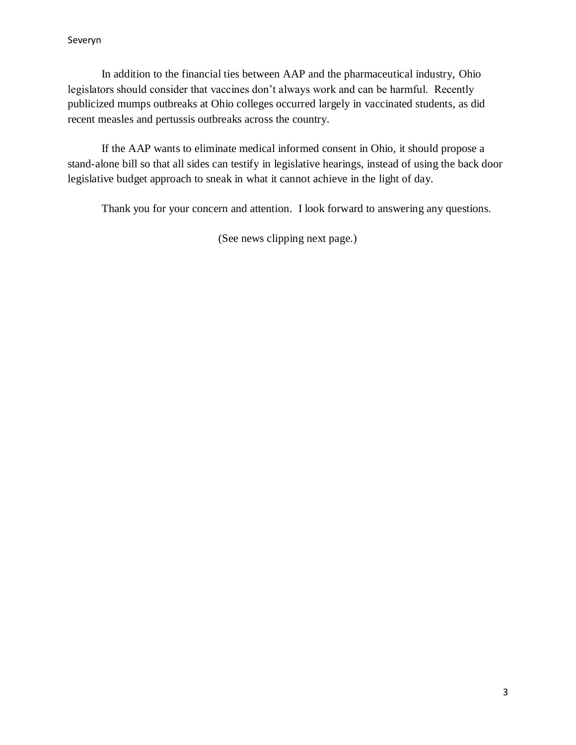In addition to the financial ties between AAP and the pharmaceutical industry, Ohio legislators should consider that vaccines don't always work and can be harmful. Recently publicized mumps outbreaks at Ohio colleges occurred largely in vaccinated students, as did recent measles and pertussis outbreaks across the country.

If the AAP wants to eliminate medical informed consent in Ohio, it should propose a stand-alone bill so that all sides can testify in legislative hearings, instead of using the back door legislative budget approach to sneak in what it cannot achieve in the light of day.

Thank you for your concern and attention. I look forward to answering any questions.

(See news clipping next page.)